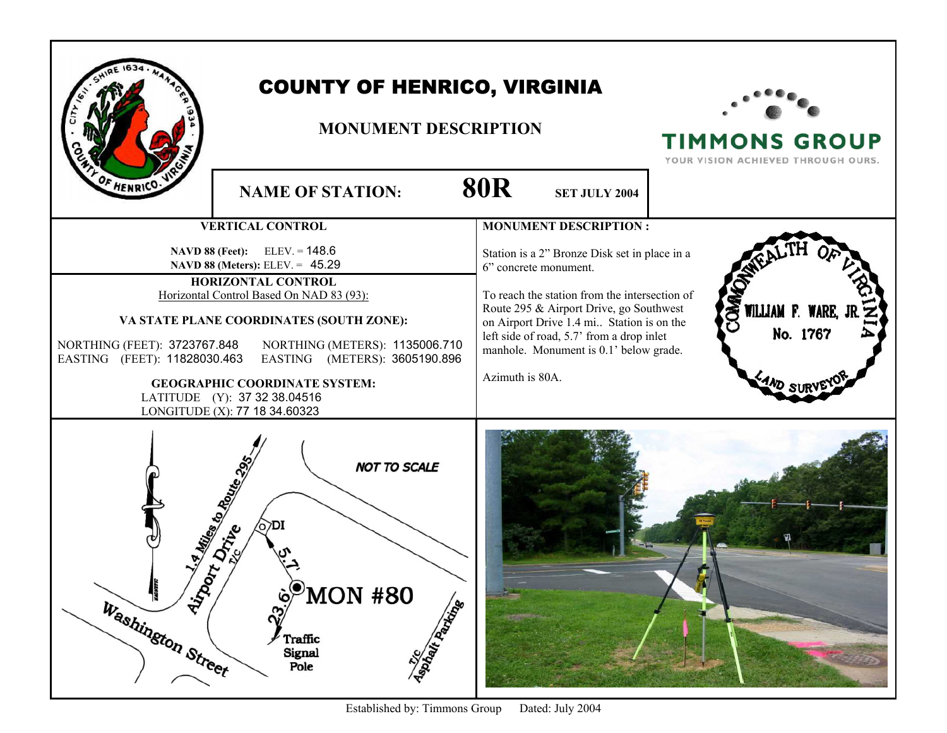|                                                                                                                                                                                                                                                                                                                                                                                                                                                                | <b>COUNTY OF HENRICO, VIRGINIA</b><br><b>MONUMENT DESCRIPTION</b> |                                                                                                                                                                                                                                                                                                                                                           | <b>TIMMONS GROUP</b><br>YOUR VISION ACHIEVED THROUGH OURS. |
|----------------------------------------------------------------------------------------------------------------------------------------------------------------------------------------------------------------------------------------------------------------------------------------------------------------------------------------------------------------------------------------------------------------------------------------------------------------|-------------------------------------------------------------------|-----------------------------------------------------------------------------------------------------------------------------------------------------------------------------------------------------------------------------------------------------------------------------------------------------------------------------------------------------------|------------------------------------------------------------|
| OF HENRICO.                                                                                                                                                                                                                                                                                                                                                                                                                                                    | <b>NAME OF STATION:</b>                                           | <b>80R</b><br><b>SET JULY 2004</b>                                                                                                                                                                                                                                                                                                                        |                                                            |
| <b>VERTICAL CONTROL</b><br><b>NAVD 88 (Feet):</b> ELEV. = $148.6$<br>NAVD 88 (Meters): ELEV. = 45.29<br>HORIZONTAL CONTROL<br>Horizontal Control Based On NAD 83 (93):<br>VA STATE PLANE COORDINATES (SOUTH ZONE):<br>NORTHING (FEET): 3723767.848<br>NORTHING (METERS): 1135006.710<br>EASTING (FEET): 11828030.463<br>EASTING (METERS): 3605190.896<br><b>GEOGRAPHIC COORDINATE SYSTEM:</b><br>LATITUDE (Y): 37 32 38.04516<br>LONGITUDE (X): 77 18 34.60323 |                                                                   | <b>MONUMENT DESCRIPTION:</b><br>Station is a 2" Bronze Disk set in place in a<br>6" concrete monument.<br>To reach the station from the intersection of<br>Route 295 & Airport Drive, go Southwest<br>on Airport Drive 1.4 mi Station is on the<br>left side of road, 5.7' from a drop inlet<br>manhole. Monument is 0.1' below grade.<br>Azimuth is 80A. | WILLIAM F. WARE,<br>No. 1767                               |
| <b>NOT TO SCALE</b><br>1.4 Miles to Roman & 1<br>DI<br>Nino<br><b>NACINETIC</b><br>MON #80<br>Maple Republicance<br>Washington Street<br>ົ<br>Traffic<br>Signal<br>Pole                                                                                                                                                                                                                                                                                        |                                                                   |                                                                                                                                                                                                                                                                                                                                                           |                                                            |